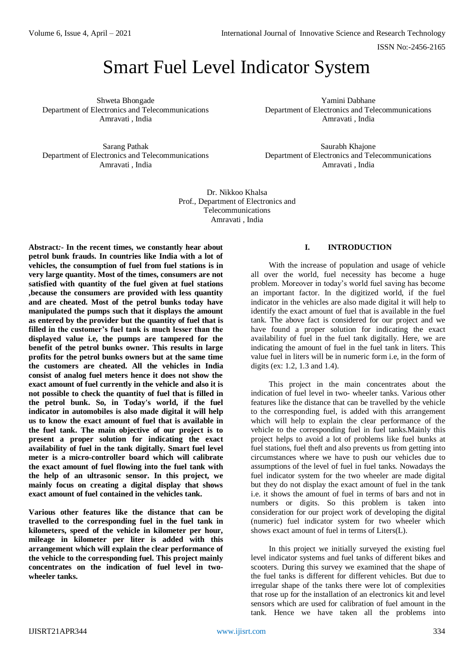# Smart Fuel Level Indicator System

Shweta Bhongade Department of Electronics and Telecommunications Amravati , India

Yamini Dabhane Department of Electronics and Telecommunications Amravati , India

Sarang Pathak Department of Electronics and Telecommunications Amravati , India

Saurabh Khajone Department of Electronics and Telecommunications Amravati , India

Dr. Nikkoo Khalsa Prof., Department of Electronics and Telecommunications Amravati , India

**Abstract***:-* **In the recent times, we constantly hear about petrol bunk frauds. In countries like India with a lot of vehicles, the consumption of fuel from fuel stations is in very large quantity. Most of the times, consumers are not satisfied with quantity of the fuel given at fuel stations ,because the consumers are provided with less quantity and are cheated. Most of the petrol bunks today have manipulated the pumps such that it displays the amount as entered by the provider but the quantity of fuel that is filled in the customer's fuel tank is much lesser than the displayed value i.e, the pumps are tampered for the benefit of the petrol bunks owner. This results in large profits for the petrol bunks owners but at the same time the customers are cheated. All the vehicles in India consist of analog fuel meters hence it does not show the exact amount of fuel currently in the vehicle and also it is not possible to check the quantity of fuel that is filled in the petrol bunk. So, in Today's world, if the fuel indicator in automobiles is also made digital it will help us to know the exact amount of fuel that is available in the fuel tank. The main objective of our project is to present a proper solution for indicating the exact availability of fuel in the tank digitally. Smart fuel level meter is a micro-controller board which will calibrate the exact amount of fuel flowing into the fuel tank with the help of an ultrasonic sensor. In this project, we mainly focus on creating a digital display that shows exact amount of fuel contained in the vehicles tank.**

**Various other features like the distance that can be travelled to the corresponding fuel in the fuel tank in kilometers, speed of the vehicle in kilometer per hour, mileage in kilometer per liter is added with this arrangement which will explain the clear performance of the vehicle to the corresponding fuel. This project mainly concentrates on the indication of fuel level in twowheeler tanks.**

## **I. INTRODUCTION**

With the increase of population and usage of vehicle all over the world, fuel necessity has become a huge problem. Moreover in today's world fuel saving has become an important factor. In the digitized world, if the fuel indicator in the vehicles are also made digital it will help to identify the exact amount of fuel that is available in the fuel tank. The above fact is considered for our project and we have found a proper solution for indicating the exact availability of fuel in the fuel tank digitally. Here, we are indicating the amount of fuel in the fuel tank in liters. This value fuel in liters will be in numeric form i.e, in the form of digits (ex: 1.2, 1.3 and 1.4).

This project in the main concentrates about the indication of fuel level in two- wheeler tanks. Various other features like the distance that can be travelled by the vehicle to the corresponding fuel, is added with this arrangement which will help to explain the clear performance of the vehicle to the corresponding fuel in fuel tanks.Mainly this project helps to avoid a lot of problems like fuel bunks at fuel stations, fuel theft and also prevents us from getting into circumstances where we have to push our vehicles due to assumptions of the level of fuel in fuel tanks. Nowadays the fuel indicator system for the two wheeler are made digital but they do not display the exact amount of fuel in the tank i.e. it shows the amount of fuel in terms of bars and not in numbers or digits. So this problem is taken into consideration for our project work of developing the digital (numeric) fuel indicator system for two wheeler which shows exact amount of fuel in terms of Liters(L).

In this project we initially surveyed the existing fuel level indicator systems and fuel tanks of different bikes and scooters. During this survey we examined that the shape of the fuel tanks is different for different vehicles. But due to irregular shape of the tanks there were lot of complexities that rose up for the installation of an electronics kit and level sensors which are used for calibration of fuel amount in the tank. Hence we have taken all the problems into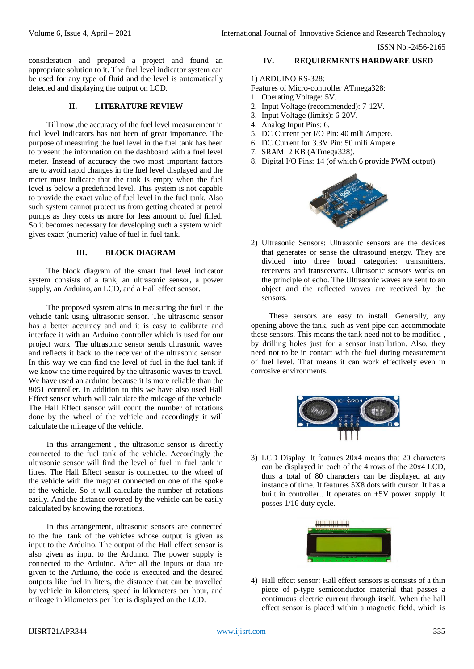consideration and prepared a project and found an appropriate solution to it. The fuel level indicator system can be used for any type of fluid and the level is automatically detected and displaying the output on LCD.

#### **II. LITERATURE REVIEW**

Till now ,the accuracy of the fuel level measurement in fuel level indicators has not been of great importance. The purpose of measuring the fuel level in the fuel tank has been to present the information on the dashboard with a fuel level meter. Instead of accuracy the two most important factors are to avoid rapid changes in the fuel level displayed and the meter must indicate that the tank is empty when the fuel level is below a predefined level. This system is not capable to provide the exact value of fuel level in the fuel tank. Also such system cannot protect us from getting cheated at petrol pumps as they costs us more for less amount of fuel filled. So it becomes necessary for developing such a system which gives exact (numeric) value of fuel in fuel tank.

## **III. BLOCK DIAGRAM**

The block diagram of the smart fuel level indicator system consists of a tank, an ultrasonic sensor, a power supply, an Arduino, an LCD, and a Hall effect sensor.

The proposed system aims in measuring the fuel in the vehicle tank using ultrasonic sensor. The ultrasonic sensor has a better accuracy and and it is easy to calibrate and interface it with an Arduino controller which is used for our project work. The ultrasonic sensor sends ultrasonic waves and reflects it back to the receiver of the ultrasonic sensor. In this way we can find the level of fuel in the fuel tank if we know the time required by the ultrasonic waves to travel. We have used an arduino because it is more reliable than the 8051 controller. In addition to this we have also used Hall Effect sensor which will calculate the mileage of the vehicle. The Hall Effect sensor will count the number of rotations done by the wheel of the vehicle and accordingly it will calculate the mileage of the vehicle.

In this arrangement , the ultrasonic sensor is directly connected to the fuel tank of the vehicle. Accordingly the ultrasonic sensor will find the level of fuel in fuel tank in litres. The Hall Effect sensor is connected to the wheel of the vehicle with the magnet connected on one of the spoke of the vehicle. So it will calculate the number of rotations easily. And the distance covered by the vehicle can be easily calculated by knowing the rotations.

In this arrangement, ultrasonic sensors are connected to the fuel tank of the vehicles whose output is given as input to the Arduino. The output of the Hall effect sensor is also given as input to the Arduino. The power supply is connected to the Arduino. After all the inputs or data are given to the Arduino, the code is executed and the desired outputs like fuel in liters, the distance that can be travelled by vehicle in kilometers, speed in kilometers per hour, and mileage in kilometers per liter is displayed on the LCD.

# **IV. REQUIREMENTS HARDWARE USED**

# 1) ARDUINO RS-328:

Features of Micro-controller ATmega328:

- 1. Operating Voltage: 5V.
- 2. Input Voltage (recommended): 7-12V.
- 3. Input Voltage (limits): 6-20V.
- 4. Analog Input Pins: 6.
- 5. DC Current per I/O Pin: 40 mili Ampere.
- 6. DC Current for 3.3V Pin: 50 mili Ampere.
- 7. SRAM: 2 KB (ATmega328).
- 8. Digital I/O Pins: 14 (of which 6 provide PWM output).



2) Ultrasonic Sensors: Ultrasonic sensors are the devices that generates or sense the ultrasound energy. They are divided into three broad categories: transmitters, receivers and transceivers. Ultrasonic sensors works on the principle of echo. The Ultrasonic waves are sent to an object and the reflected waves are received by the sensors.

These sensors are easy to install. Generally, any opening above the tank, such as vent pipe can accommodate these sensors. This means the tank need not to be modified , by drilling holes just for a sensor installation. Also, they need not to be in contact with the fuel during measurement of fuel level. That means it can work effectively even in corrosive environments.



3) LCD Display: It features 20x4 means that 20 characters can be displayed in each of the 4 rows of the 20x4 LCD, thus a total of 80 characters can be displayed at any instance of time. It features 5X8 dots with cursor. It has a built in controller.. It operates on +5V power supply. It posses 1/16 duty cycle.



4) Hall effect sensor: Hall effect sensors is consists of a thin piece of p-type semiconductor material that passes a continuous electric current through itself. When the hall effect sensor is placed within a magnetic field, which is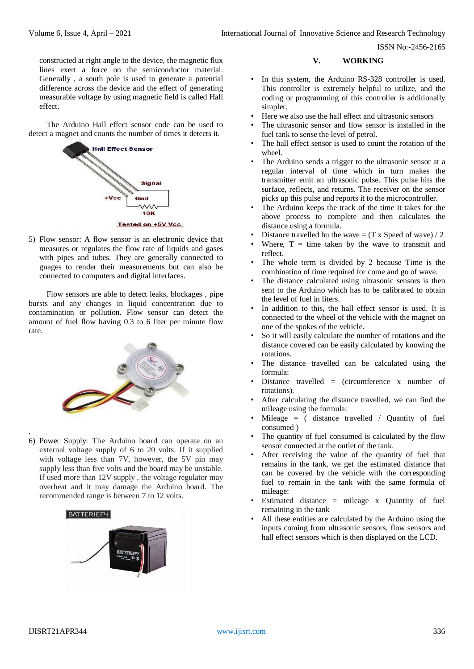constructed at right angle to the device, the magnetic flux lines exert a force on the semiconductor material. Generally , a south pole is used to generate a potential difference across the device and the effect of generating measurable voltage by using magnetic field is called Hall effect.

The Arduino Hall effect sensor code can be used to detect a magnet and counts the number of times it detects it.



5) Flow sensor: A flow sensor is an electronic device that measures or regulates the flow rate of liquids and gases with pipes and tubes. They are generally connected to guages to render their measurements but can also be connected to computers and digital interfaces.

Flow sensors are able to detect leaks, blockages , pipe bursts and any changes in liquid concentration due to contamination or pollution. Flow sensor can detect the amount of fuel flow having 0.3 to 6 liter per minute flow rate.



. 6) Power Supply: The Arduino board can operate on an external voltage supply of 6 to 20 volts. If it supplied with voltage less than 7V, however, the 5V pin may supply less than five volts and the board may be unstable. If used more than 12V supply , the voltage regulator may overheat and it may damage the Arduino board. The recommended range is between 7 to 12 volts.



## **V. WORKING**

- In this system, the Arduino RS-328 controller is used. This controller is extremely helpful to utilize, and the coding or programming of this controller is additionally simpler.
- Here we also use the hall effect and ultrasonic sensors
- The ultrasonic sensor and flow sensor is installed in the fuel tank to sense the level of petrol.
- The hall effect sensor is used to count the rotation of the wheel.
- The Arduino sends a trigger to the ultrasonic sensor at a regular interval of time which in turn makes the transmitter emit an ultrasonic pulse. This pulse hits the surface, reflects, and returns. The receiver on the sensor picks up this pulse and reports it to the microcontroller.
- The Arduino keeps the track of the time it takes for the above process to complete and then calculates the distance using a formula.
- Distance travelled bu the wave =  $(T \times Speed \text{ of wave}) / 2$
- Where,  $T =$  time taken by the wave to transmit and reflect.
- The whole term is divided by 2 because Time is the combination of time required for come and go of wave.
- The distance calculated using ultrasonic sensors is then sent to the Arduino which has to be calibrated to obtain the level of fuel in liters.
- In addition to this, the hall effect sensor is used. It is connected to the wheel of the vehicle with the magnet on one of the spokes of the vehicle.
- So it will easily calculate the number of rotations and the distance covered can be easily calculated by knowing the rotations.
- The distance travelled can be calculated using the formula:
- Distance travelled  $=$  (circumference x number of rotations).
- After calculating the distance travelled, we can find the mileage using the formula:
- Mileage  $=$  ( distance travelled / Quantity of fuel consumed )
- The quantity of fuel consumed is calculated by the flow sensor connected at the outlet of the tank.
- After receiving the value of the quantity of fuel that remains in the tank, we get the estimated distance that can be covered by the vehicle with the corresponding fuel to remain in the tank with the same formula of mileage:
- Estimated distance = mileage x Quantity of fuel remaining in the tank
- All these entities are calculated by the Arduino using the inputs coming from ultrasonic sensors, flow sensors and hall effect sensors which is then displayed on the LCD.